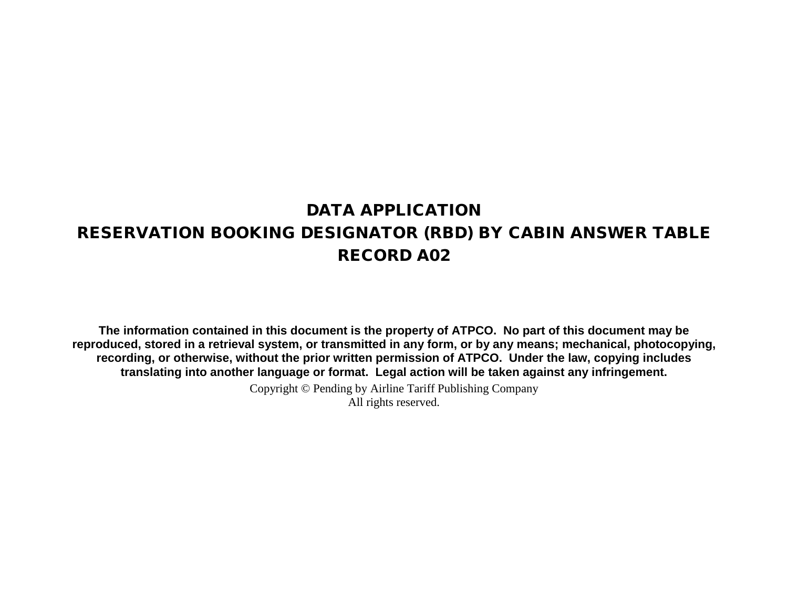# DATA APPLICATION RESERVATION BOOKING DESIGNATOR (RBD) BY CABIN ANSWER TABLE RECORD A02

**The information contained in this document is the property of ATPCO. No part of this document may be reproduced, stored in a retrieval system, or transmitted in any form, or by any means; mechanical, photocopying, recording, or otherwise, without the prior written permission of ATPCO. Under the law, copying includes translating into another language or format. Legal action will be taken against any infringement.**

> Copyright © Pending by Airline Tariff Publishing Company All rights reserved.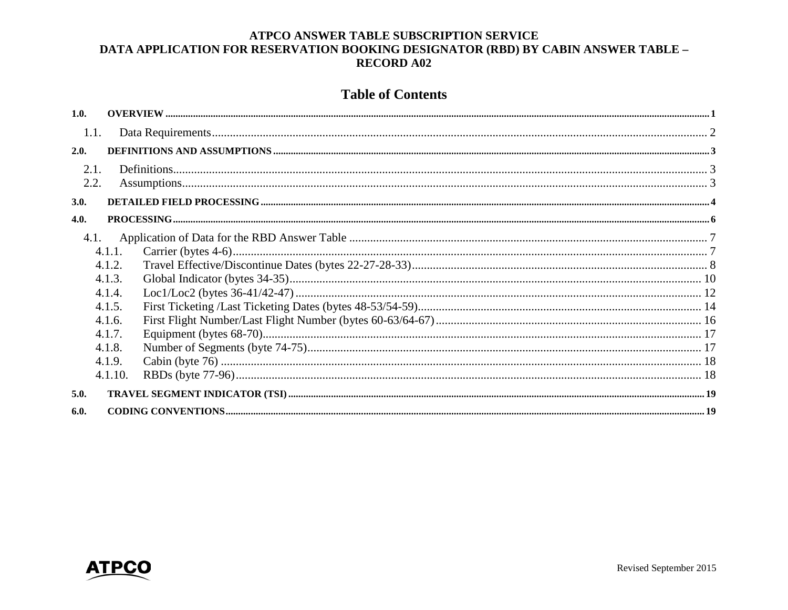## **Table of Contents**

| 1.0. |         |  |
|------|---------|--|
| 1.1. |         |  |
| 2.0. |         |  |
| 2.1. |         |  |
| 2.2. |         |  |
| 3.0. |         |  |
| 4.0. |         |  |
| 4.1. |         |  |
|      | 4.1.1.  |  |
|      | 4.1.2.  |  |
|      | 4.1.3.  |  |
|      | 4.1.4.  |  |
|      | 4.1.5.  |  |
|      | 4.1.6.  |  |
|      | 4.1.7.  |  |
|      | 4.1.8.  |  |
|      | 4.1.9.  |  |
|      | 4.1.10. |  |
| 5.0. |         |  |
| 6.0. |         |  |

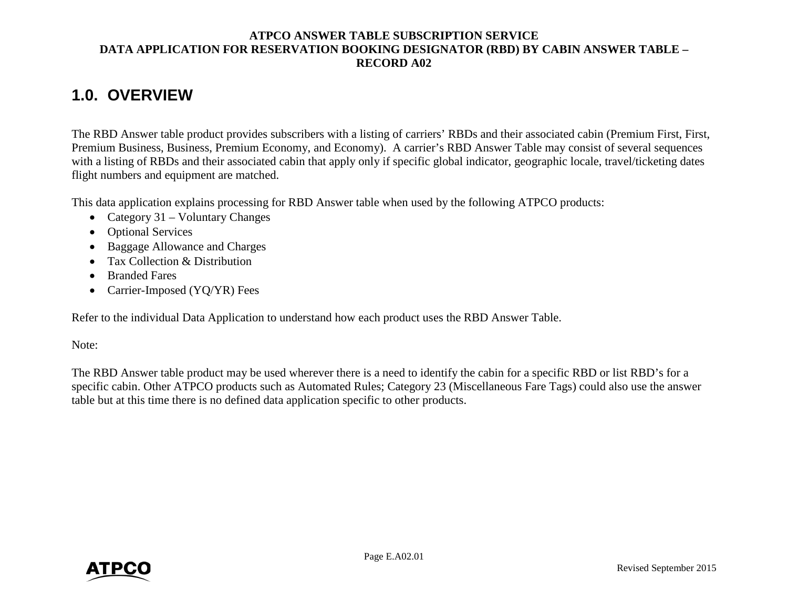# <span id="page-2-0"></span>**1.0. OVERVIEW**

The RBD Answer table product provides subscribers with a listing of carriers' RBDs and their associated cabin (Premium First, First, Premium Business, Business, Premium Economy, and Economy). A carrier's RBD Answer Table may consist of several sequences with a listing of RBDs and their associated cabin that apply only if specific global indicator, geographic locale, travel/ticketing dates flight numbers and equipment are matched.

This data application explains processing for RBD Answer table when used by the following ATPCO products:

- Category 31 Voluntary Changes
- Optional Services
- Baggage Allowance and Charges
- Tax Collection & Distribution
- Branded Fares
- Carrier-Imposed (YQ/YR) Fees

Refer to the individual Data Application to understand how each product uses the RBD Answer Table.

Note:

The RBD Answer table product may be used wherever there is a need to identify the cabin for a specific RBD or list RBD's for a specific cabin. Other ATPCO products such as Automated Rules; Category 23 (Miscellaneous Fare Tags) could also use the answer table but at this time there is no defined data application specific to other products.

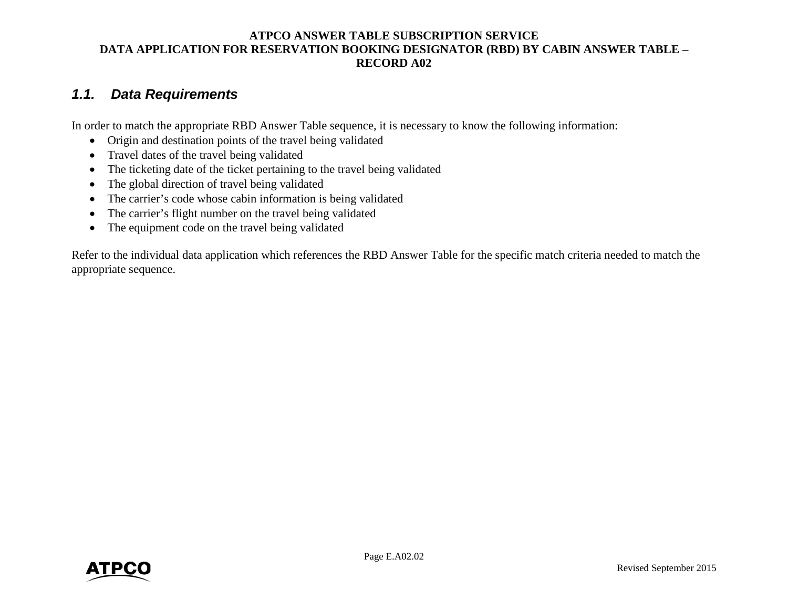## <span id="page-3-0"></span>*1.1. Data Requirements*

In order to match the appropriate RBD Answer Table sequence, it is necessary to know the following information:

- Origin and destination points of the travel being validated
- Travel dates of the travel being validated
- The ticketing date of the ticket pertaining to the travel being validated
- The global direction of travel being validated
- The carrier's code whose cabin information is being validated
- The carrier's flight number on the travel being validated
- The equipment code on the travel being validated

Refer to the individual data application which references the RBD Answer Table for the specific match criteria needed to match the appropriate sequence.

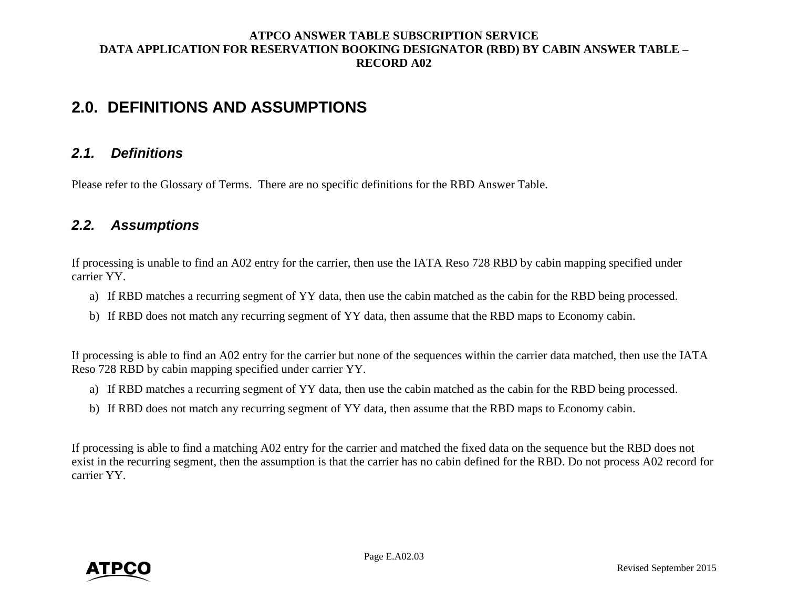# <span id="page-4-0"></span>**2.0. DEFINITIONS AND ASSUMPTIONS**

## <span id="page-4-1"></span>*2.1. Definitions*

Please refer to the Glossary of Terms. There are no specific definitions for the RBD Answer Table.

## <span id="page-4-2"></span>*2.2. Assumptions*

If processing is unable to find an A02 entry for the carrier, then use the IATA Reso 728 RBD by cabin mapping specified under carrier YY.

- a) If RBD matches a recurring segment of YY data, then use the cabin matched as the cabin for the RBD being processed.
- b) If RBD does not match any recurring segment of YY data, then assume that the RBD maps to Economy cabin.

If processing is able to find an A02 entry for the carrier but none of the sequences within the carrier data matched, then use the IATA Reso 728 RBD by cabin mapping specified under carrier YY.

- a) If RBD matches a recurring segment of YY data, then use the cabin matched as the cabin for the RBD being processed.
- b) If RBD does not match any recurring segment of YY data, then assume that the RBD maps to Economy cabin.

If processing is able to find a matching A02 entry for the carrier and matched the fixed data on the sequence but the RBD does not exist in the recurring segment, then the assumption is that the carrier has no cabin defined for the RBD. Do not process A02 record for carrier YY.

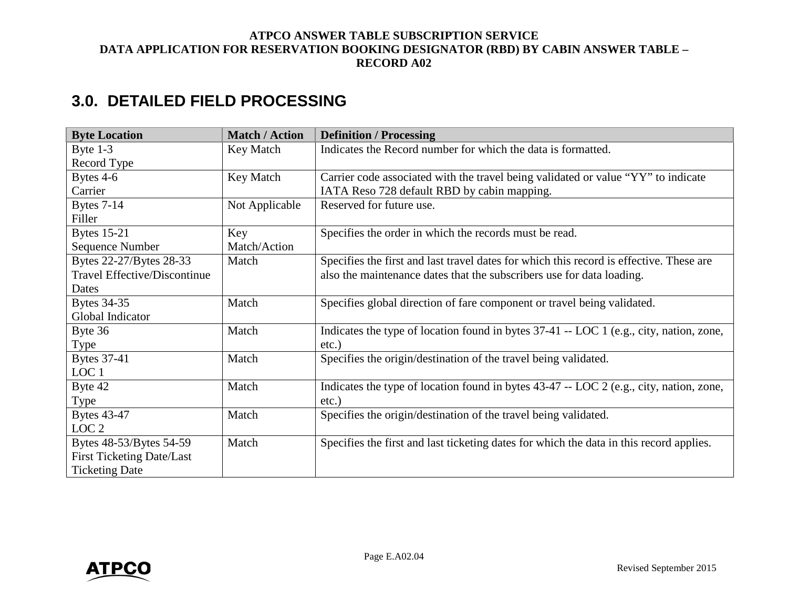# <span id="page-5-0"></span>**3.0. DETAILED FIELD PROCESSING**

| <b>Byte Location</b>             | <b>Match / Action</b> | <b>Definition / Processing</b>                                                          |
|----------------------------------|-----------------------|-----------------------------------------------------------------------------------------|
| Byte $1-3$                       | Key Match             | Indicates the Record number for which the data is formatted.                            |
| Record Type                      |                       |                                                                                         |
| Bytes 4-6                        | Key Match             | Carrier code associated with the travel being validated or value "YY" to indicate       |
| Carrier                          |                       | IATA Reso 728 default RBD by cabin mapping.                                             |
| <b>Bytes 7-14</b>                | Not Applicable        | Reserved for future use.                                                                |
| Filler                           |                       |                                                                                         |
| <b>Bytes 15-21</b>               | Key                   | Specifies the order in which the records must be read.                                  |
| Sequence Number                  | Match/Action          |                                                                                         |
| Bytes 22-27/Bytes 28-33          | Match                 | Specifies the first and last travel dates for which this record is effective. These are |
| Travel Effective/Discontinue     |                       | also the maintenance dates that the subscribers use for data loading.                   |
| Dates                            |                       |                                                                                         |
| <b>Bytes 34-35</b>               | Match                 | Specifies global direction of fare component or travel being validated.                 |
| Global Indicator                 |                       |                                                                                         |
| Byte 36                          | Match                 | Indicates the type of location found in bytes 37-41 -- LOC 1 (e.g., city, nation, zone, |
| Type                             |                       | etc.)                                                                                   |
| <b>Bytes 37-41</b>               | Match                 | Specifies the origin/destination of the travel being validated.                         |
| LOC <sub>1</sub>                 |                       |                                                                                         |
| Byte 42                          | Match                 | Indicates the type of location found in bytes 43-47 -- LOC 2 (e.g., city, nation, zone, |
| Type                             |                       | etc.)                                                                                   |
| <b>Bytes 43-47</b>               | Match                 | Specifies the origin/destination of the travel being validated.                         |
| LOC <sub>2</sub>                 |                       |                                                                                         |
| Bytes 48-53/Bytes 54-59          | Match                 | Specifies the first and last ticketing dates for which the data in this record applies. |
| <b>First Ticketing Date/Last</b> |                       |                                                                                         |
| <b>Ticketing Date</b>            |                       |                                                                                         |

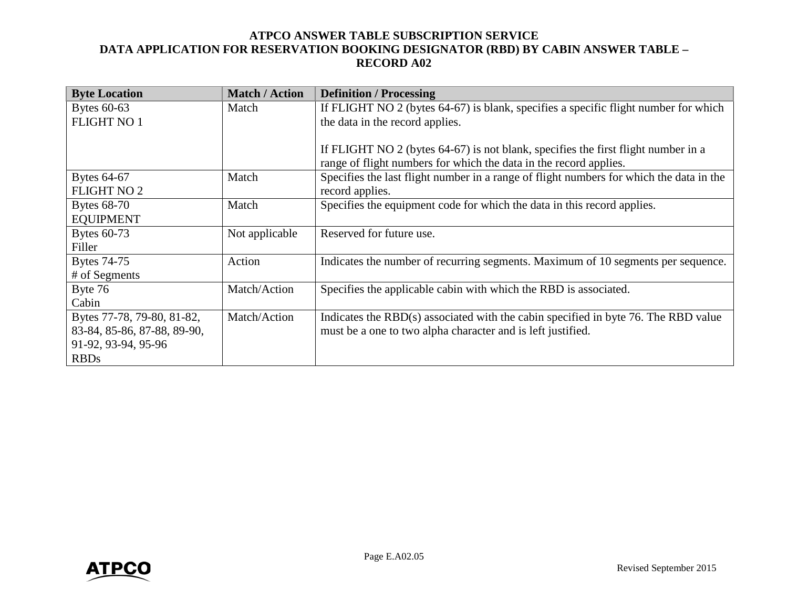| <b>Byte Location</b>        | <b>Match / Action</b> | <b>Definition / Processing</b>                                                          |
|-----------------------------|-----------------------|-----------------------------------------------------------------------------------------|
| Bytes 60-63                 | Match                 | If FLIGHT NO 2 (bytes 64-67) is blank, specifies a specific flight number for which     |
| <b>FLIGHT NO 1</b>          |                       | the data in the record applies.                                                         |
|                             |                       |                                                                                         |
|                             |                       | If FLIGHT NO 2 (bytes 64-67) is not blank, specifies the first flight number in a       |
|                             |                       | range of flight numbers for which the data in the record applies.                       |
| Bytes 64-67                 | Match                 | Specifies the last flight number in a range of flight numbers for which the data in the |
| <b>FLIGHT NO 2</b>          |                       | record applies.                                                                         |
| Bytes 68-70                 | Match                 | Specifies the equipment code for which the data in this record applies.                 |
| <b>EQUIPMENT</b>            |                       |                                                                                         |
| Bytes 60-73                 | Not applicable        | Reserved for future use.                                                                |
| Filler                      |                       |                                                                                         |
| <b>Bytes 74-75</b>          | Action                | Indicates the number of recurring segments. Maximum of 10 segments per sequence.        |
| # of Segments               |                       |                                                                                         |
| Byte 76                     | Match/Action          | Specifies the applicable cabin with which the RBD is associated.                        |
| Cabin                       |                       |                                                                                         |
| Bytes 77-78, 79-80, 81-82,  | Match/Action          | Indicates the RBD(s) associated with the cabin specified in byte 76. The RBD value      |
| 83-84, 85-86, 87-88, 89-90, |                       | must be a one to two alpha character and is left justified.                             |
| 91-92, 93-94, 95-96         |                       |                                                                                         |
| <b>RBDs</b>                 |                       |                                                                                         |

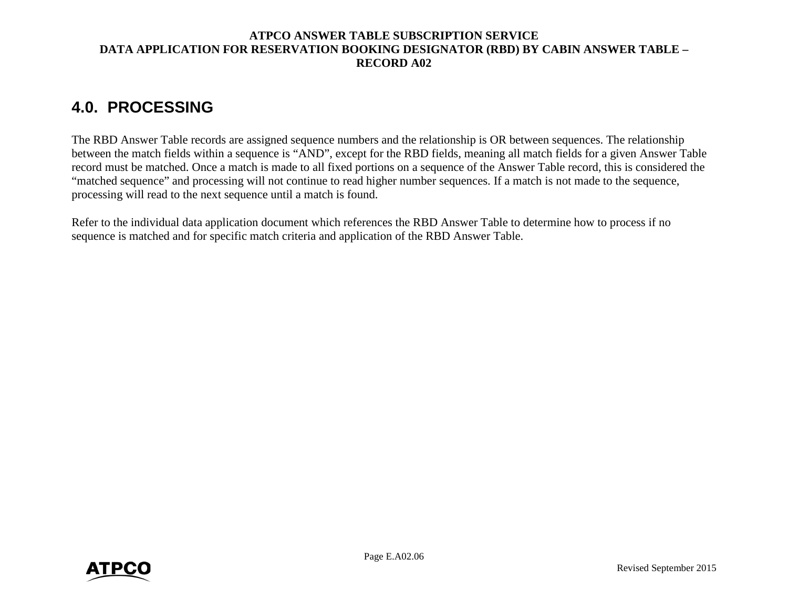# <span id="page-7-0"></span>**4.0. PROCESSING**

The RBD Answer Table records are assigned sequence numbers and the relationship is OR between sequences. The relationship between the match fields within a sequence is "AND", except for the RBD fields, meaning all match fields for a given Answer Table record must be matched. Once a match is made to all fixed portions on a sequence of the Answer Table record, this is considered the "matched sequence" and processing will not continue to read higher number sequences. If a match is not made to the sequence, processing will read to the next sequence until a match is found.

Refer to the individual data application document which references the RBD Answer Table to determine how to process if no sequence is matched and for specific match criteria and application of the RBD Answer Table.

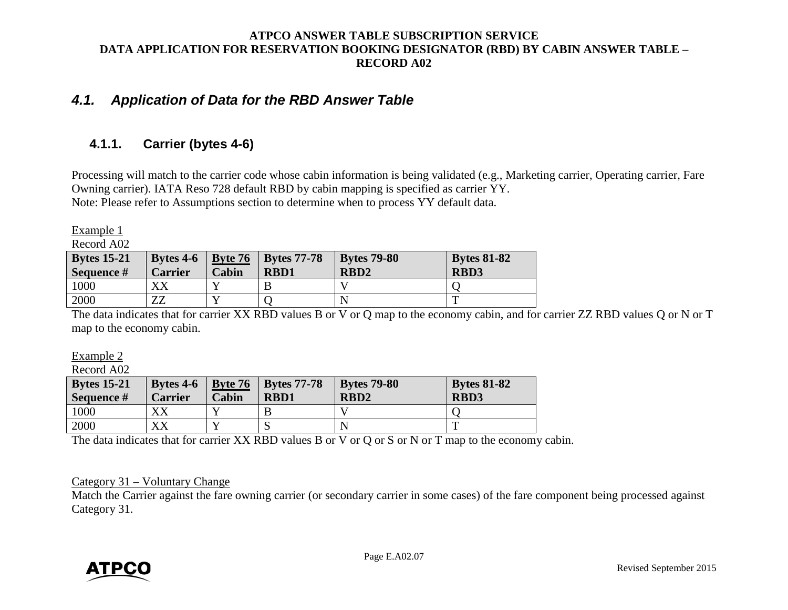## <span id="page-8-0"></span>*4.1. Application of Data for the RBD Answer Table*

## <span id="page-8-1"></span>**4.1.1. Carrier (bytes 4-6)**

Processing will match to the carrier code whose cabin information is being validated (e.g., Marketing carrier, Operating carrier, Fare Owning carrier). IATA Reso 728 default RBD by cabin mapping is specified as carrier YY. Note: Please refer to Assumptions section to determine when to process YY default data.

Example 1

Record A02

| <b>Bytes 15-21</b> | Bytes $4-6$                  | $\vert$ Byte 76 | <b>Bytes 77-78</b> | <b>Bytes 79-80</b> | <b>Bytes 81-82</b> |
|--------------------|------------------------------|-----------------|--------------------|--------------------|--------------------|
| Sequence #         | <b>Carrier</b>               | Cabin           | <b>RBD1</b>        | RBD <sub>2</sub>   | <b>RBD3</b>        |
| 1000               |                              |                 |                    |                    |                    |
| 2000               | $\overline{\mathbf{r}}$<br>ப |                 |                    |                    |                    |

The data indicates that for carrier XX RBD values B or V or Q map to the economy cabin, and for carrier ZZ RBD values Q or N or T map to the economy cabin.

Example 2

Record A02

| <b>Bytes 15-21</b><br>Sequence # | Bytes $4-6$<br><b>Carrier</b> | Cabin | <b>Byte 76   Bytes 77-78</b><br><b>RBD1</b> | <b>Bytes 79-80</b><br>RBD <sub>2</sub> | <b>Bytes 81-82</b><br><b>RBD3</b> |
|----------------------------------|-------------------------------|-------|---------------------------------------------|----------------------------------------|-----------------------------------|
| 1000                             | XХ                            |       |                                             |                                        |                                   |
| 2000                             | vv<br>ΛЛ                      |       |                                             |                                        |                                   |

The data indicates that for carrier XX RBD values B or V or Q or S or N or T map to the economy cabin.

#### Category 31 – Voluntary Change

Match the Carrier against the fare owning carrier (or secondary carrier in some cases) of the fare component being processed against Category 31.

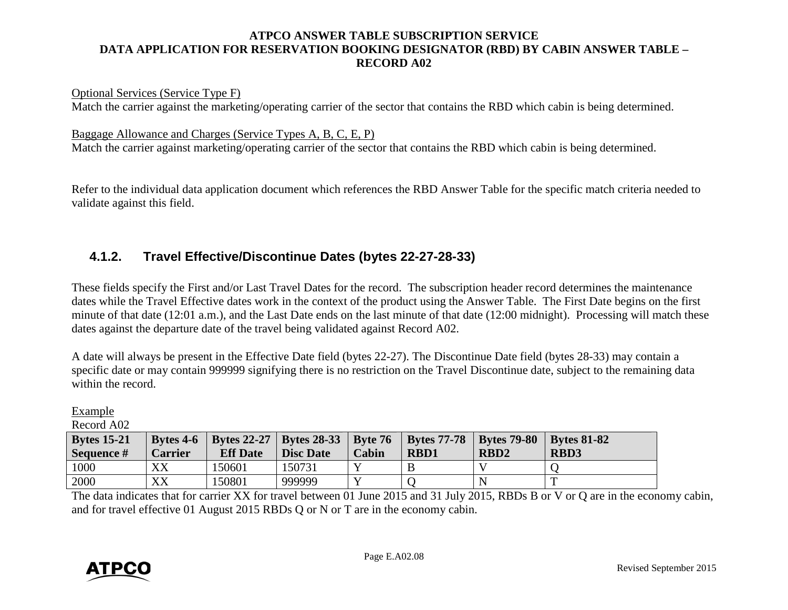#### Optional Services (Service Type F)

Match the carrier against the marketing/operating carrier of the sector that contains the RBD which cabin is being determined.

Baggage Allowance and Charges (Service Types A, B, C, E, P) Match the carrier against marketing/operating carrier of the sector that contains the RBD which cabin is being determined.

Refer to the individual data application document which references the RBD Answer Table for the specific match criteria needed to validate against this field.

## <span id="page-9-0"></span>**4.1.2. Travel Effective/Discontinue Dates (bytes 22-27-28-33)**

These fields specify the First and/or Last Travel Dates for the record. The subscription header record determines the maintenance dates while the Travel Effective dates work in the context of the product using the Answer Table. The First Date begins on the first minute of that date (12:01 a.m.), and the Last Date ends on the last minute of that date (12:00 midnight). Processing will match these dates against the departure date of the travel being validated against Record A02.

A date will always be present in the Effective Date field (bytes 22-27). The Discontinue Date field (bytes 28-33) may contain a specific date or may contain 999999 signifying there is no restriction on the Travel Discontinue date, subject to the remaining data within the record.

| Гľ<br>и |  |
|---------|--|
|         |  |

Record A02

| <b>Bytes 15-21</b><br>Sequence $#$ | Bytes $4-6$<br>Carrier | <b>Eff Date</b> | <b>Bytes 22-27   Bytes 28-33   Byte 76</b><br><b>Disc Date</b> | Cabin        | <b>Bytes 77-78</b> Bytes 79-80<br><b>RBD1</b> | RBD <sub>2</sub> | <b>Bytes 81-82</b><br><b>RBD3</b> |
|------------------------------------|------------------------|-----------------|----------------------------------------------------------------|--------------|-----------------------------------------------|------------------|-----------------------------------|
| 1000                               | XX                     | 150601          | 150731                                                         | $\mathbf{v}$ |                                               |                  |                                   |
| 2000                               | XX                     | 150801          | 999999                                                         | $\mathbf{v}$ |                                               |                  |                                   |

The data indicates that for carrier XX for travel between 01 June 2015 and 31 July 2015, RBDs B or V or Q are in the economy cabin, and for travel effective 01 August 2015 RBDs Q or N or T are in the economy cabin.

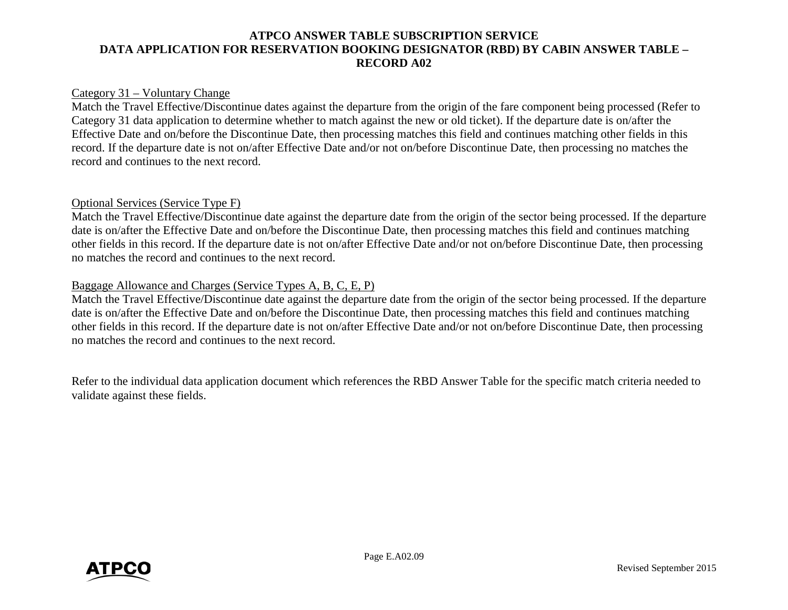#### Category 31 – Voluntary Change

Match the Travel Effective/Discontinue dates against the departure from the origin of the fare component being processed (Refer to Category 31 data application to determine whether to match against the new or old ticket). If the departure date is on/after the Effective Date and on/before the Discontinue Date, then processing matches this field and continues matching other fields in this record. If the departure date is not on/after Effective Date and/or not on/before Discontinue Date, then processing no matches the record and continues to the next record.

#### Optional Services (Service Type F)

Match the Travel Effective/Discontinue date against the departure date from the origin of the sector being processed. If the departure date is on/after the Effective Date and on/before the Discontinue Date, then processing matches this field and continues matching other fields in this record. If the departure date is not on/after Effective Date and/or not on/before Discontinue Date, then processing no matches the record and continues to the next record.

#### Baggage Allowance and Charges (Service Types A, B, C, E, P)

Match the Travel Effective/Discontinue date against the departure date from the origin of the sector being processed. If the departure date is on/after the Effective Date and on/before the Discontinue Date, then processing matches this field and continues matching other fields in this record. If the departure date is not on/after Effective Date and/or not on/before Discontinue Date, then processing no matches the record and continues to the next record.

Refer to the individual data application document which references the RBD Answer Table for the specific match criteria needed to validate against these fields.

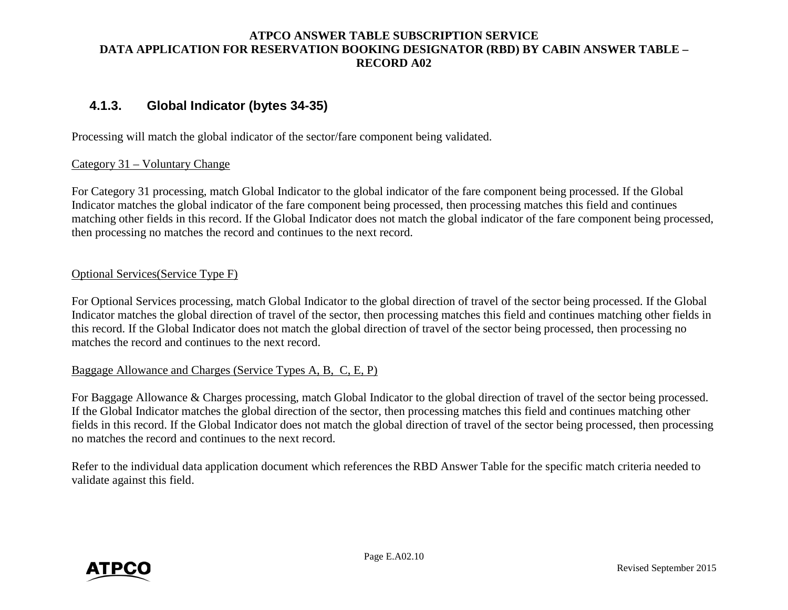## <span id="page-11-0"></span>**4.1.3. Global Indicator (bytes 34-35)**

Processing will match the global indicator of the sector/fare component being validated.

#### Category 31 – Voluntary Change

For Category 31 processing, match Global Indicator to the global indicator of the fare component being processed. If the Global Indicator matches the global indicator of the fare component being processed, then processing matches this field and continues matching other fields in this record. If the Global Indicator does not match the global indicator of the fare component being processed, then processing no matches the record and continues to the next record.

#### Optional Services(Service Type F)

For Optional Services processing, match Global Indicator to the global direction of travel of the sector being processed. If the Global Indicator matches the global direction of travel of the sector, then processing matches this field and continues matching other fields in this record. If the Global Indicator does not match the global direction of travel of the sector being processed, then processing no matches the record and continues to the next record.

#### Baggage Allowance and Charges (Service Types A, B, C, E, P)

For Baggage Allowance & Charges processing, match Global Indicator to the global direction of travel of the sector being processed. If the Global Indicator matches the global direction of the sector, then processing matches this field and continues matching other fields in this record. If the Global Indicator does not match the global direction of travel of the sector being processed, then processing no matches the record and continues to the next record.

Refer to the individual data application document which references the RBD Answer Table for the specific match criteria needed to validate against this field.

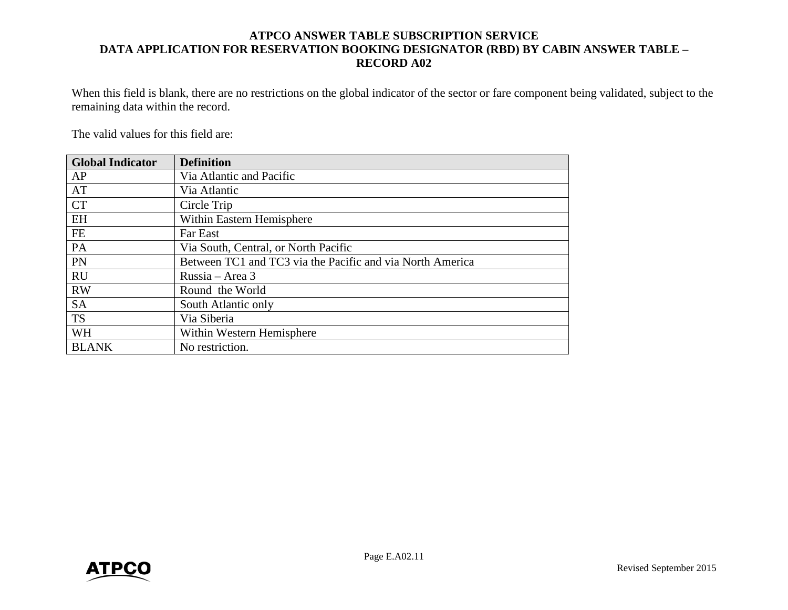When this field is blank, there are no restrictions on the global indicator of the sector or fare component being validated, subject to the remaining data within the record.

The valid values for this field are:

| <b>Global Indicator</b> | <b>Definition</b>                                         |
|-------------------------|-----------------------------------------------------------|
| AP                      | Via Atlantic and Pacific                                  |
| AT                      | Via Atlantic                                              |
| <b>CT</b>               | Circle Trip                                               |
| EH                      | Within Eastern Hemisphere                                 |
| FE                      | Far East                                                  |
| PA                      | Via South, Central, or North Pacific                      |
| PN                      | Between TC1 and TC3 via the Pacific and via North America |
| <b>RU</b>               | Russia – Area $3$                                         |
| <b>RW</b>               | Round the World                                           |
| <b>SA</b>               | South Atlantic only                                       |
| <b>TS</b>               | Via Siberia                                               |
| <b>WH</b>               | Within Western Hemisphere                                 |
| <b>BLANK</b>            | No restriction.                                           |

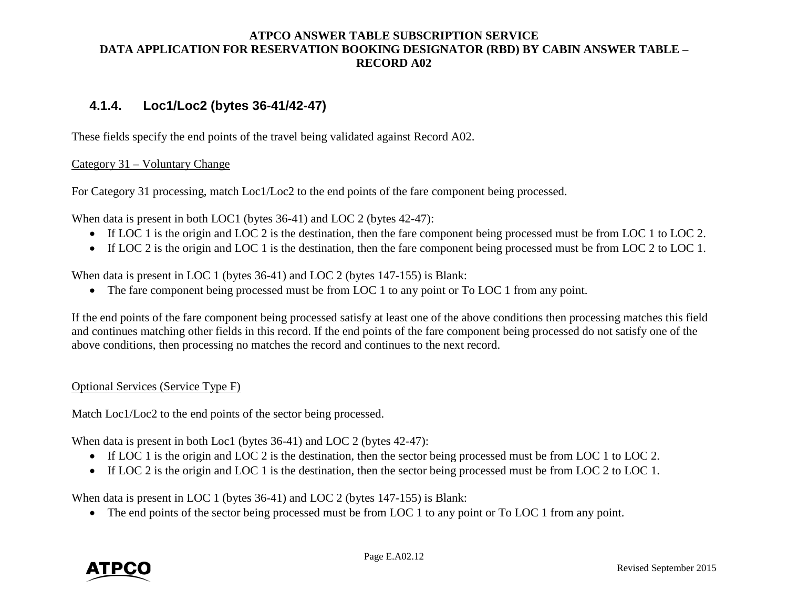## <span id="page-13-0"></span>**4.1.4. Loc1/Loc2 (bytes 36-41/42-47)**

These fields specify the end points of the travel being validated against Record A02.

### Category 31 – Voluntary Change

For Category 31 processing, match Loc1/Loc2 to the end points of the fare component being processed.

When data is present in both LOC1 (bytes 36-41) and LOC 2 (bytes 42-47):

- If LOC 1 is the origin and LOC 2 is the destination, then the fare component being processed must be from LOC 1 to LOC 2.
- If LOC 2 is the origin and LOC 1 is the destination, then the fare component being processed must be from LOC 2 to LOC 1.

When data is present in LOC 1 (bytes 36-41) and LOC 2 (bytes 147-155) is Blank:

• The fare component being processed must be from LOC 1 to any point or To LOC 1 from any point.

If the end points of the fare component being processed satisfy at least one of the above conditions then processing matches this field and continues matching other fields in this record. If the end points of the fare component being processed do not satisfy one of the above conditions, then processing no matches the record and continues to the next record.

#### Optional Services (Service Type F)

Match Loc1/Loc2 to the end points of the sector being processed.

When data is present in both Loc1 (bytes 36-41) and LOC 2 (bytes 42-47):

- If LOC 1 is the origin and LOC 2 is the destination, then the sector being processed must be from LOC 1 to LOC 2.
- If LOC 2 is the origin and LOC 1 is the destination, then the sector being processed must be from LOC 2 to LOC 1.

When data is present in LOC 1 (bytes 36-41) and LOC 2 (bytes 147-155) is Blank:

• The end points of the sector being processed must be from LOC 1 to any point or To LOC 1 from any point.

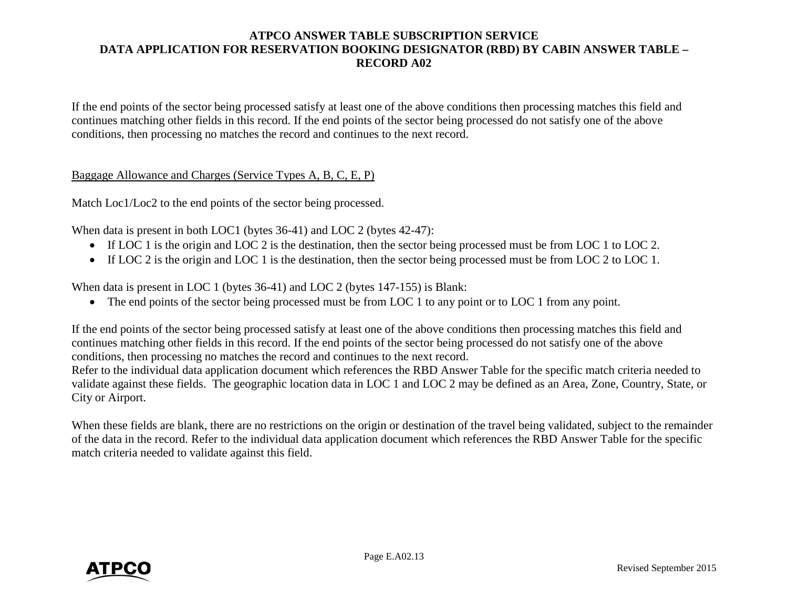If the end points of the sector being processed satisfy at least one of the above conditions then processing matches this field and continues matching other fields in this record. If the end points of the sector being processed do not satisfy one of the above conditions, then processing no matches the record and continues to the next record.

Baggage Allowance and Charges (Service Types A, B, C, E, P)

Match Loc1/Loc2 to the end points of the sector being processed.

When data is present in both LOC1 (bytes 36-41) and LOC 2 (bytes 42-47):

- If LOC 1 is the origin and LOC 2 is the destination, then the sector being processed must be from LOC 1 to LOC 2.
- If LOC 2 is the origin and LOC 1 is the destination, then the sector being processed must be from LOC 2 to LOC 1.

When data is present in LOC 1 (bytes 36-41) and LOC 2 (bytes 147-155) is Blank:

• The end points of the sector being processed must be from LOC 1 to any point or to LOC 1 from any point.

If the end points of the sector being processed satisfy at least one of the above conditions then processing matches this field and continues matching other fields in this record. If the end points of the sector being processed do not satisfy one of the above conditions, then processing no matches the record and continues to the next record.

Refer to the individual data application document which references the RBD Answer Table for the specific match criteria needed to validate against these fields. The geographic location data in LOC 1 and LOC 2 may be defined as an Area, Zone, Country, State, or City or Airport.

When these fields are blank, there are no restrictions on the origin or destination of the travel being validated, subject to the remainder of the data in the record. Refer to the individual data application document which references the RBD Answer Table for the specific match criteria needed to validate against this field.

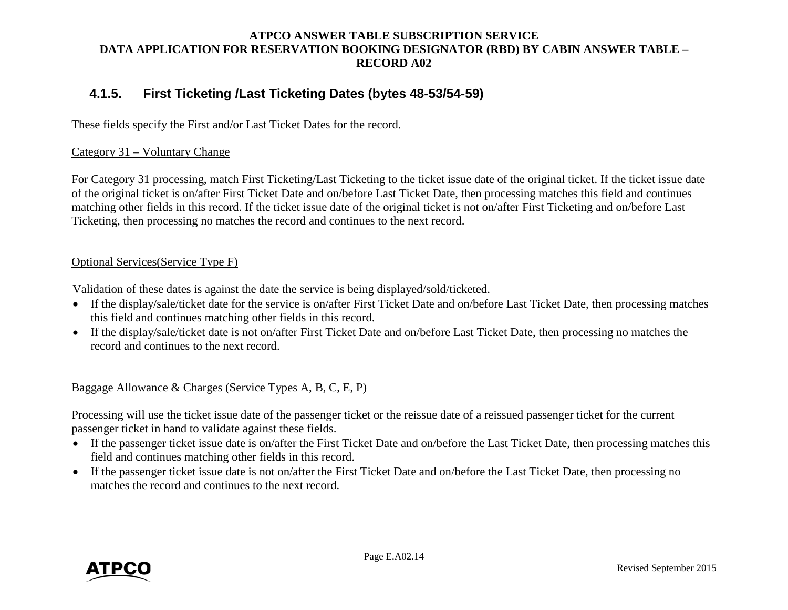## <span id="page-15-0"></span>**4.1.5. First Ticketing /Last Ticketing Dates (bytes 48-53/54-59)**

These fields specify the First and/or Last Ticket Dates for the record.

#### Category 31 – Voluntary Change

For Category 31 processing, match First Ticketing/Last Ticketing to the ticket issue date of the original ticket. If the ticket issue date of the original ticket is on/after First Ticket Date and on/before Last Ticket Date, then processing matches this field and continues matching other fields in this record. If the ticket issue date of the original ticket is not on/after First Ticketing and on/before Last Ticketing, then processing no matches the record and continues to the next record.

#### Optional Services(Service Type F)

Validation of these dates is against the date the service is being displayed/sold/ticketed.

- If the display/sale/ticket date for the service is on/after First Ticket Date and on/before Last Ticket Date, then processing matches this field and continues matching other fields in this record.
- If the display/sale/ticket date is not on/after First Ticket Date and on/before Last Ticket Date, then processing no matches the record and continues to the next record.

## Baggage Allowance & Charges (Service Types A, B, C, E, P)

Processing will use the ticket issue date of the passenger ticket or the reissue date of a reissued passenger ticket for the current passenger ticket in hand to validate against these fields.

- If the passenger ticket issue date is on/after the First Ticket Date and on/before the Last Ticket Date, then processing matches this field and continues matching other fields in this record.
- If the passenger ticket issue date is not on/after the First Ticket Date and on/before the Last Ticket Date, then processing no matches the record and continues to the next record.

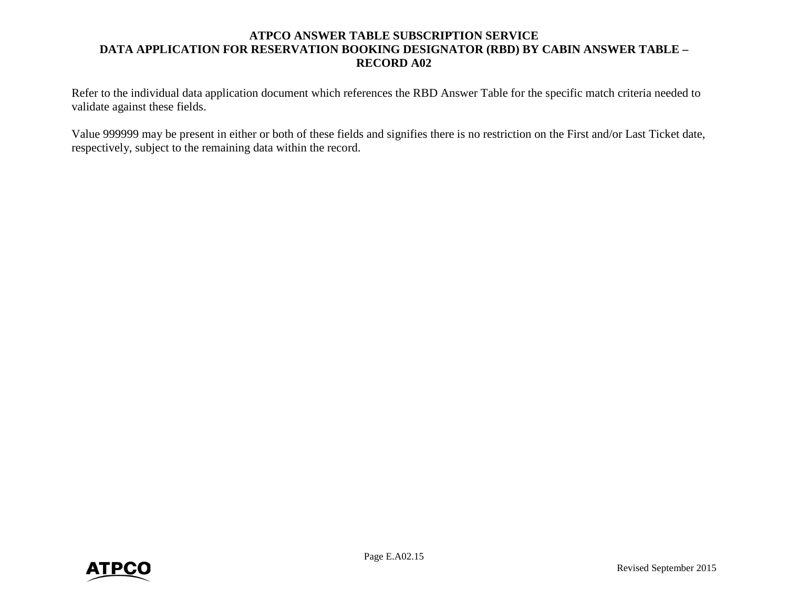Refer to the individual data application document which references the RBD Answer Table for the specific match criteria needed to validate against these fields.

Value 999999 may be present in either or both of these fields and signifies there is no restriction on the First and/or Last Ticket date, respectively, subject to the remaining data within the record.

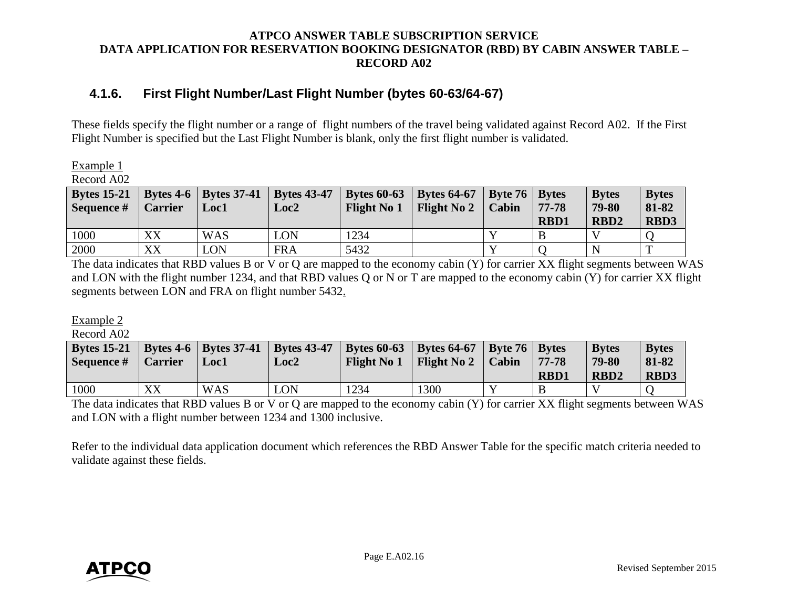## <span id="page-17-0"></span>**4.1.6. First Flight Number/Last Flight Number (bytes 60-63/64-67)**

These fields specify the flight number or a range of flight numbers of the travel being validated against Record A02. If the First Flight Number is specified but the Last Flight Number is blank, only the first flight number is validated.

Example 1

Record A02

| <b>Bytes 15-21</b><br>Sequence # | <b>Carrier</b> | Bytes 4-6   Bytes 37-41   Bytes 43-47<br>Loc1 | Loc <sub>2</sub> | <b>Flight No 1</b> | Bytes 60-63   Bytes 64-67   Byte 76   Bytes<br>  Flight No $2$ | Cabin | $77 - 78$<br><b>RBD1</b> | <b>Bytes</b><br>79-80<br>RBD <sub>2</sub> | <b>Bytes</b><br>81-82<br><b>RBD3</b> |
|----------------------------------|----------------|-----------------------------------------------|------------------|--------------------|----------------------------------------------------------------|-------|--------------------------|-------------------------------------------|--------------------------------------|
| 1000                             | XX             | <b>WAS</b>                                    | <b>LON</b>       | 1234               |                                                                |       |                          |                                           |                                      |
| 2000                             | XX             | LON                                           | <b>FRA</b>       | 5432               |                                                                |       |                          | N                                         | m                                    |

The data indicates that RBD values B or V or Q are mapped to the economy cabin (Y) for carrier XX flight segments between WAS and LON with the flight number 1234, and that RBD values Q or N or T are mapped to the economy cabin (Y) for carrier XX flight segments between LON and FRA on flight number 5432.

Example 2

Record A02

| <b>Bytes 15-21</b> |                | Bytes 4-6   Bytes 37-41   Bytes 43-47 |      | Bytes 60-63   Bytes 64-67   Byte 76   Bytes |                                             |             | <b>Bytes</b>     | <b>Bytes</b> |
|--------------------|----------------|---------------------------------------|------|---------------------------------------------|---------------------------------------------|-------------|------------------|--------------|
| Sequence #         | <b>Carrier</b> | Loc1                                  | Loc2 |                                             | Flight No $1 \mid$ Flight No $2 \mid$ Cabin | $77 - 78$   | 79-80            | 81-82        |
|                    |                |                                       |      |                                             |                                             | <b>RBD1</b> | RBD <sub>2</sub> | <b>RBD3</b>  |
| 1000               | XX             | <b>WAS</b>                            | LON  | 1234                                        | 1300                                        |             |                  |              |

The data indicates that RBD values B or V or Q are mapped to the economy cabin (Y) for carrier XX flight segments between WAS and LON with a flight number between 1234 and 1300 inclusive.

Refer to the individual data application document which references the RBD Answer Table for the specific match criteria needed to validate against these fields.

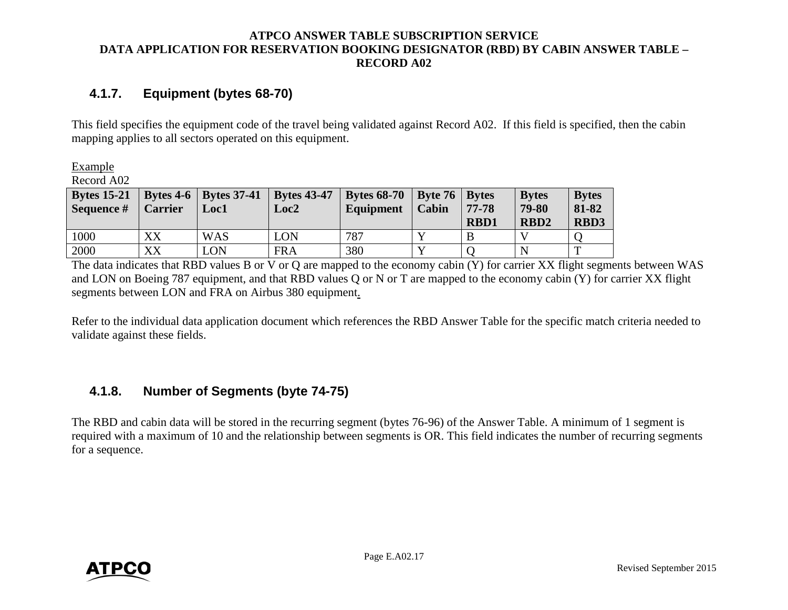## <span id="page-18-0"></span>**4.1.7. Equipment (bytes 68-70)**

This field specifies the equipment code of the travel being validated against Record A02. If this field is specified, then the cabin mapping applies to all sectors operated on this equipment.

Example

Record A02

| <b>Bytes 15-21</b><br>Sequence # | <b>Carrier</b> | Bytes 4-6   Bytes 37-41   Bytes 43-47<br><b>Loc1</b> | Loc2       | <b>Bytes 68-70</b><br>Equipment | Byte 76   Bytes<br><b>Cabin</b> | 77-78<br><b>RBD1</b> | <b>Bytes</b><br>79-80<br>RBD <sub>2</sub> | <b>Bytes</b><br>81-82<br><b>RBD3</b> |
|----------------------------------|----------------|------------------------------------------------------|------------|---------------------------------|---------------------------------|----------------------|-------------------------------------------|--------------------------------------|
| 1000                             | XX             | <b>WAS</b>                                           | LON        | 787                             |                                 |                      |                                           |                                      |
| 2000                             | XX             | $\overline{ON}$                                      | <b>FRA</b> | 380                             |                                 |                      | N                                         | m                                    |

The data indicates that RBD values B or V or Q are mapped to the economy cabin (Y) for carrier XX flight segments between WAS and LON on Boeing 787 equipment, and that RBD values Q or N or T are mapped to the economy cabin (Y) for carrier XX flight segments between LON and FRA on Airbus 380 equipment.

Refer to the individual data application document which references the RBD Answer Table for the specific match criteria needed to validate against these fields.

## <span id="page-18-1"></span>**4.1.8. Number of Segments (byte 74-75)**

The RBD and cabin data will be stored in the recurring segment (bytes 76-96) of the Answer Table. A minimum of 1 segment is required with a maximum of 10 and the relationship between segments is OR. This field indicates the number of recurring segments for a sequence.

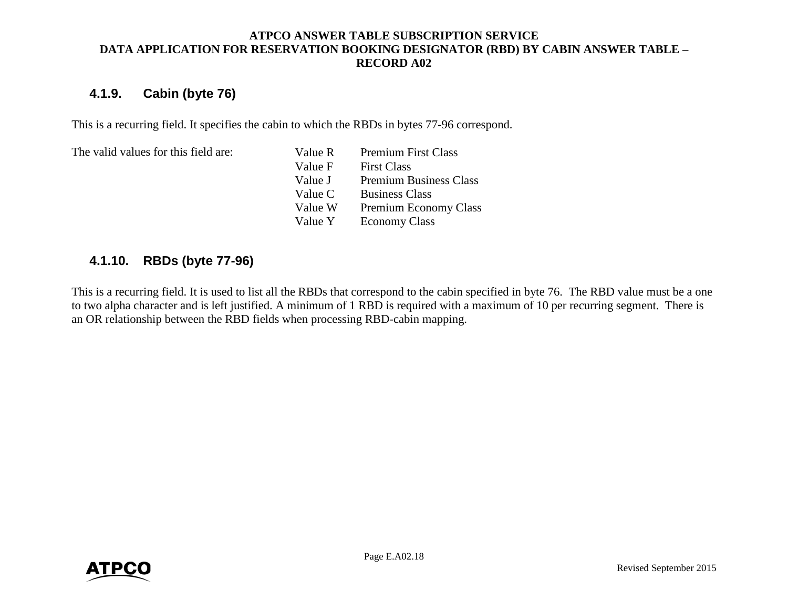## <span id="page-19-0"></span>**4.1.9. Cabin (byte 76)**

This is a recurring field. It specifies the cabin to which the RBDs in bytes 77-96 correspond.

The valid values for this field are:

Value R Premium First Class Value F First Class Value J Premium Business Class Value C Business Class Value W Premium Economy Class Value Y Economy Class

## <span id="page-19-1"></span>**4.1.10. RBDs (byte 77-96)**

This is a recurring field. It is used to list all the RBDs that correspond to the cabin specified in byte 76. The RBD value must be a one to two alpha character and is left justified. A minimum of 1 RBD is required with a maximum of 10 per recurring segment. There is an OR relationship between the RBD fields when processing RBD-cabin mapping.